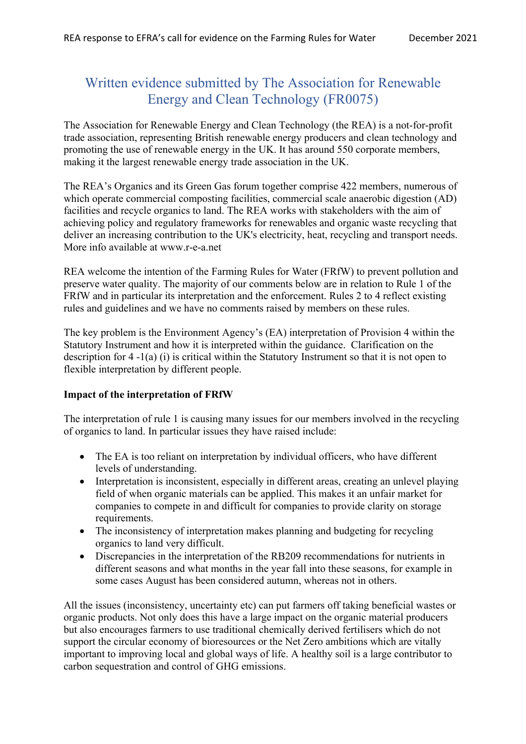# Written evidence submitted by The Association for Renewable Energy and Clean Technology (FR0075)

The Association for Renewable Energy and Clean Technology (the REA) is a not-for-profit trade association, representing British renewable energy producers and clean technology and promoting the use of renewable energy in the UK. It has around 550 corporate members, making it the largest renewable energy trade association in the UK.

The REA's Organics and its Green Gas forum together comprise 422 members, numerous of which operate commercial composting facilities, commercial scale anaerobic digestion (AD) facilities and recycle organics to land. The REA works with stakeholders with the aim of achieving policy and regulatory frameworks for renewables and organic waste recycling that deliver an increasing contribution to the UK's electricity, heat, recycling and transport needs. More info available at www.r-e-a.net

REA welcome the intention of the Farming Rules for Water (FRfW) to prevent pollution and preserve water quality. The majority of our comments below are in relation to Rule 1 of the FRfW and in particular its interpretation and the enforcement. Rules 2 to 4 reflect existing rules and guidelines and we have no comments raised by members on these rules.

The key problem is the Environment Agency's (EA) interpretation of Provision 4 within the Statutory Instrument and how it is interpreted within the guidance. Clarification on the description for 4 -1(a) (i) is critical within the Statutory Instrument so that it is not open to flexible interpretation by different people.

## **Impact of the interpretation of FRfW**

The interpretation of rule 1 is causing many issues for our members involved in the recycling of organics to land. In particular issues they have raised include:

- The EA is too reliant on interpretation by individual officers, who have different levels of understanding.
- Interpretation is inconsistent, especially in different areas, creating an unlevel playing field of when organic materials can be applied. This makes it an unfair market for companies to compete in and difficult for companies to provide clarity on storage requirements.
- The inconsistency of interpretation makes planning and budgeting for recycling organics to land very difficult.
- Discrepancies in the interpretation of the RB209 recommendations for nutrients in different seasons and what months in the year fall into these seasons, for example in some cases August has been considered autumn, whereas not in others.

All the issues (inconsistency, uncertainty etc) can put farmers off taking beneficial wastes or organic products. Not only does this have a large impact on the organic material producers but also encourages farmers to use traditional chemically derived fertilisers which do not support the circular economy of bioresources or the Net Zero ambitions which are vitally important to improving local and global ways of life. A healthy soil is a large contributor to carbon sequestration and control of GHG emissions.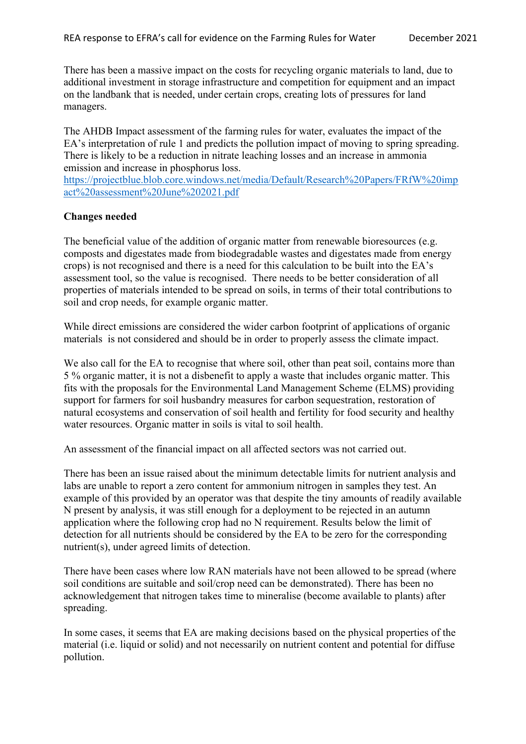There has been a massive impact on the costs for recycling organic materials to land, due to additional investment in storage infrastructure and competition for equipment and an impact on the landbank that is needed, under certain crops, creating lots of pressures for land managers.

The AHDB Impact assessment of the farming rules for water, evaluates the impact of the EA's interpretation of rule 1 and predicts the pollution impact of moving to spring spreading. There is likely to be a reduction in nitrate leaching losses and an increase in ammonia emission and increase in phosphorus loss.

[https://projectblue.blob.core.windows.net/media/Default/Research%20Papers/FRfW%20imp](https://projectblue.blob.core.windows.net/media/Default/Research%20Papers/FRfW%20impact%20assessment%20June%202021.pdf) [act%20assessment%20June%202021.pdf](https://projectblue.blob.core.windows.net/media/Default/Research%20Papers/FRfW%20impact%20assessment%20June%202021.pdf)

#### **Changes needed**

The beneficial value of the addition of organic matter from renewable bioresources (e.g. composts and digestates made from biodegradable wastes and digestates made from energy crops) is not recognised and there is a need for this calculation to be built into the EA's assessment tool, so the value is recognised. There needs to be better consideration of all properties of materials intended to be spread on soils, in terms of their total contributions to soil and crop needs, for example organic matter.

While direct emissions are considered the wider carbon footprint of applications of organic materials is not considered and should be in order to properly assess the climate impact.

We also call for the EA to recognise that where soil, other than peat soil, contains more than 5 % organic matter, it is not a disbenefit to apply a waste that includes organic matter. This fits with the proposals for the Environmental Land Management Scheme (ELMS) providing support for farmers for soil husbandry measures for carbon sequestration, restoration of natural ecosystems and conservation of soil health and fertility for food security and healthy water resources. Organic matter in soils is vital to soil health.

An assessment of the financial impact on all affected sectors was not carried out.

There has been an issue raised about the minimum detectable limits for nutrient analysis and labs are unable to report a zero content for ammonium nitrogen in samples they test. An example of this provided by an operator was that despite the tiny amounts of readily available N present by analysis, it was still enough for a deployment to be rejected in an autumn application where the following crop had no N requirement. Results below the limit of detection for all nutrients should be considered by the EA to be zero for the corresponding nutrient(s), under agreed limits of detection.

There have been cases where low RAN materials have not been allowed to be spread (where soil conditions are suitable and soil/crop need can be demonstrated). There has been no acknowledgement that nitrogen takes time to mineralise (become available to plants) after spreading.

In some cases, it seems that EA are making decisions based on the physical properties of the material (i.e. liquid or solid) and not necessarily on nutrient content and potential for diffuse pollution.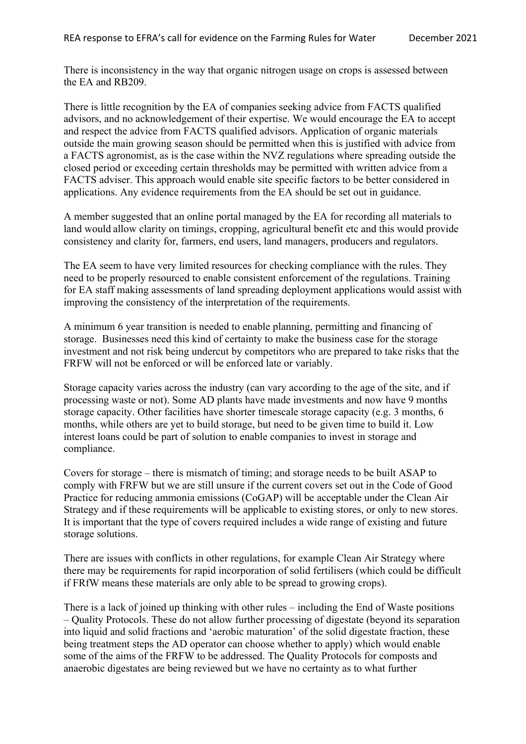There is inconsistency in the way that organic nitrogen usage on crops is assessed between the EA and RB209.

There is little recognition by the EA of companies seeking advice from FACTS qualified advisors, and no acknowledgement of their expertise. We would encourage the EA to accept and respect the advice from FACTS qualified advisors. Application of organic materials outside the main growing season should be permitted when this is justified with advice from a FACTS agronomist, as is the case within the NVZ regulations where spreading outside the closed period or exceeding certain thresholds may be permitted with written advice from a FACTS adviser. This approach would enable site specific factors to be better considered in applications. Any evidence requirements from the EA should be set out in guidance.

A member suggested that an online portal managed by the EA for recording all materials to land would allow clarity on timings, cropping, agricultural benefit etc and this would provide consistency and clarity for, farmers, end users, land managers, producers and regulators.

The EA seem to have very limited resources for checking compliance with the rules. They need to be properly resourced to enable consistent enforcement of the regulations. Training for EA staff making assessments of land spreading deployment applications would assist with improving the consistency of the interpretation of the requirements.

A minimum 6 year transition is needed to enable planning, permitting and financing of storage. Businesses need this kind of certainty to make the business case for the storage investment and not risk being undercut by competitors who are prepared to take risks that the FRFW will not be enforced or will be enforced late or variably.

Storage capacity varies across the industry (can vary according to the age of the site, and if processing waste or not). Some AD plants have made investments and now have 9 months storage capacity. Other facilities have shorter timescale storage capacity (e.g. 3 months, 6 months, while others are yet to build storage, but need to be given time to build it. Low interest loans could be part of solution to enable companies to invest in storage and compliance.

Covers for storage – there is mismatch of timing; and storage needs to be built ASAP to comply with FRFW but we are still unsure if the current covers set out in the Code of Good Practice for reducing ammonia emissions (CoGAP) will be acceptable under the Clean Air Strategy and if these requirements will be applicable to existing stores, or only to new stores. It is important that the type of covers required includes a wide range of existing and future storage solutions.

There are issues with conflicts in other regulations, for example Clean Air Strategy where there may be requirements for rapid incorporation of solid fertilisers (which could be difficult if FRfW means these materials are only able to be spread to growing crops).

There is a lack of joined up thinking with other rules – including the End of Waste positions – Quality Protocols. These do not allow further processing of digestate (beyond its separation into liquid and solid fractions and 'aerobic maturation' of the solid digestate fraction, these being treatment steps the AD operator can choose whether to apply) which would enable some of the aims of the FRFW to be addressed. The Quality Protocols for composts and anaerobic digestates are being reviewed but we have no certainty as to what further